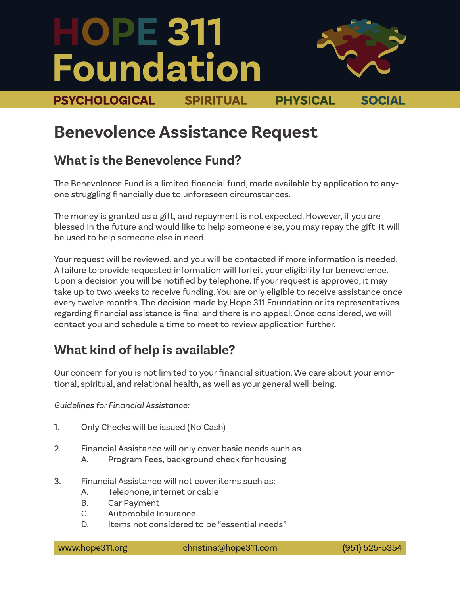# **HOPE 311 Foundation**



**PSYCHOLOGICAL SPIRITUAL PHYSICAL SOCIAL**

# **Benevolence Assistance Request**

#### **What is the Benevolence Fund?**

The Benevolence Fund is a limited financial fund, made available by application to anyone struggling financially due to unforeseen circumstances.

The money is granted as a gift, and repayment is not expected. However, if you are blessed in the future and would like to help someone else, you may repay the gift. It will be used to help someone else in need.

Your request will be reviewed, and you will be contacted if more information is needed. A failure to provide requested information will forfeit your eligibility for benevolence. Upon a decision you will be notified by telephone. If your request is approved, it may take up to two weeks to receive funding. You are only eligible to receive assistance once every twelve months. The decision made by Hope 311 Foundation or its representatives regarding financial assistance is final and there is no appeal. Once considered, we will contact you and schedule a time to meet to review application further.

### **What kind of help is available?**

Our concern for you is not limited to your financial situation. We care about your emotional, spiritual, and relational health, as well as your general well-being.

*Guidelines for Financial Assistance:* 

- 1. Only Checks will be issued (No Cash)
- 2. Financial Assistance will only cover basic needs such as
	- A. Program Fees, background check for housing
- 3. Financial Assistance will not cover items such as:
	- A. Telephone, internet or cable
	- B. Car Payment
	- C. Automobile Insurance
	- D. Items not considered to be "essential needs"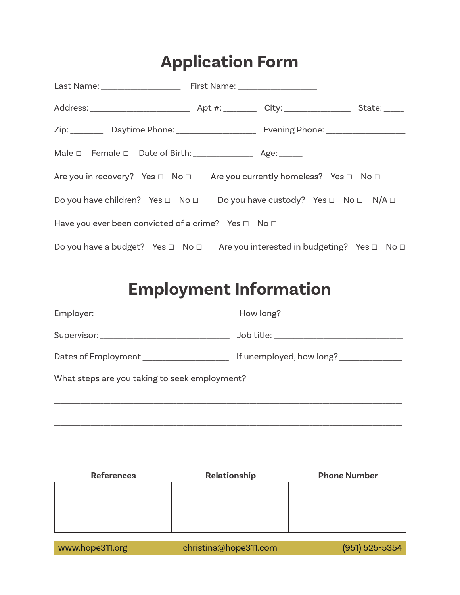# **Application Form**

| Zip: _________ Daytime Phone: _____________________ Evening Phone: ______________               |  |  |
|-------------------------------------------------------------------------------------------------|--|--|
|                                                                                                 |  |  |
| Are you in recovery? Yes $\Box$ No $\Box$ Are you currently homeless? Yes $\Box$ No $\Box$      |  |  |
| Do you have children? Yes $\Box$ No $\Box$ Do you have custody? Yes $\Box$ No $\Box$ N/A $\Box$ |  |  |
| Have you ever been convicted of a crime? Yes $\Box$ No $\Box$                                   |  |  |
| Do you have a budget? Yes □ No □ Are you interested in budgeting? Yes □ No □                    |  |  |

# **Employment Information**

| How long? _______________                                                             |
|---------------------------------------------------------------------------------------|
| Job title: _______________________________                                            |
| Dates of Employment _____________________<br>If unemployed, how long? _______________ |
| What steps are you taking to seek employment?                                         |
|                                                                                       |
|                                                                                       |
|                                                                                       |

| <b>References</b> | Relationship | <b>Phone Number</b> |
|-------------------|--------------|---------------------|
|                   |              |                     |
|                   |              |                     |
|                   |              |                     |

\_\_\_\_\_\_\_\_\_\_\_\_\_\_\_\_\_\_\_\_\_\_\_\_\_\_\_\_\_\_\_\_\_\_\_\_\_\_\_\_\_\_\_\_\_\_\_\_\_\_\_\_\_\_\_\_\_\_\_\_\_\_\_\_\_\_\_\_\_\_\_\_\_\_\_\_\_\_\_\_\_\_\_\_\_\_\_\_\_\_\_\_\_\_\_\_\_\_\_\_\_\_\_\_\_

www.hope311.org christina@hope311.com (951) 525-5354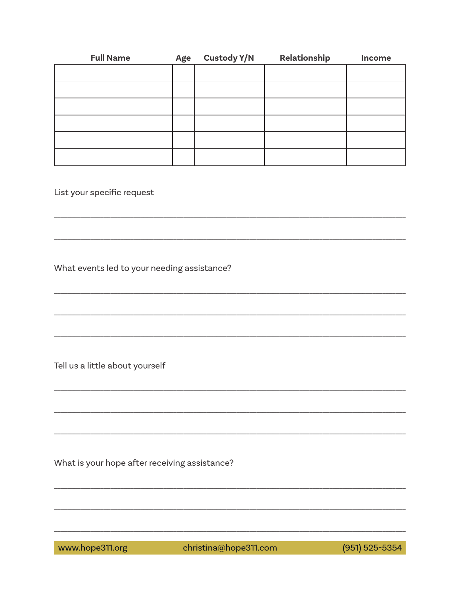| <b>Full Name</b> | Age | <b>Custody Y/N</b> | Relationship | Income |
|------------------|-----|--------------------|--------------|--------|
|                  |     |                    |              |        |
|                  |     |                    |              |        |
|                  |     |                    |              |        |
|                  |     |                    |              |        |
|                  |     |                    |              |        |
|                  |     |                    |              |        |

List your specific request

What events led to your needing assistance?

Tell us a little about yourself

What is your hope after receiving assistance?

www.hope311.org christina@hope311.com (951) 525-5354